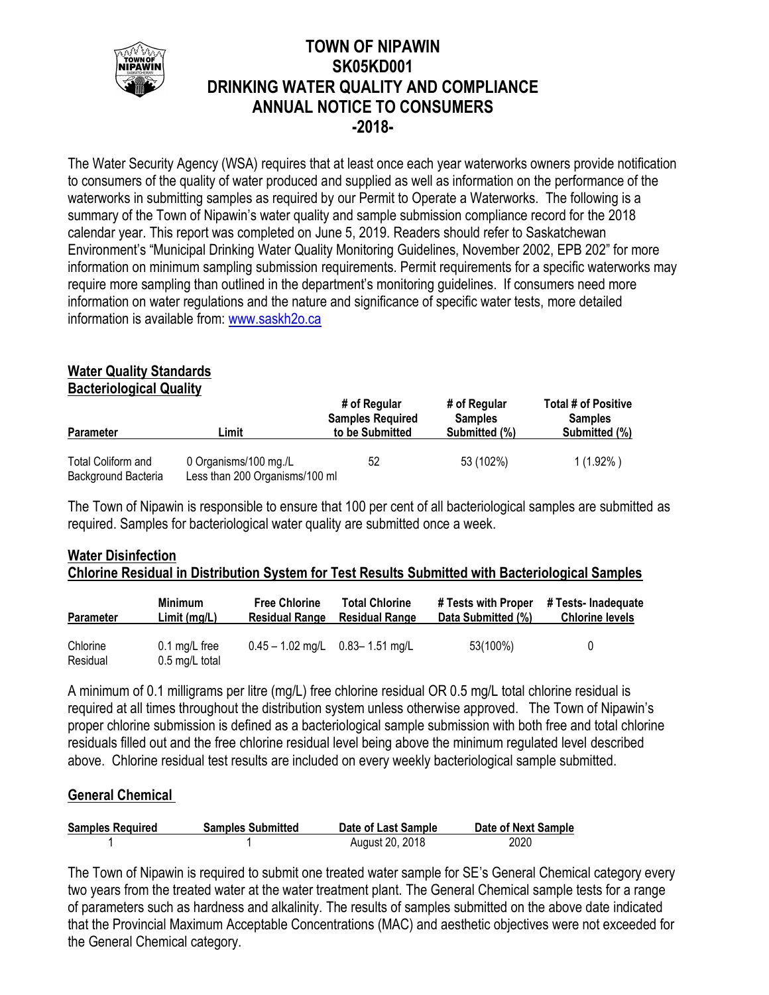

## **TOWN OF NIPAWIN SK05KD001 DRINKING WATER QUALITY AND COMPLIANCE ANNUAL NOTICE TO CONSUMERS -2018-**

The Water Security Agency (WSA) requires that at least once each year waterworks owners provide notification to consumers of the quality of water produced and supplied as well as information on the performance of the waterworks in submitting samples as required by our Permit to Operate a Waterworks. The following is a summary of the Town of Nipawin's water quality and sample submission compliance record for the 2018 calendar year. This report was completed on June 5, 2019. Readers should refer to Saskatchewan Environment's "Municipal Drinking Water Quality Monitoring Guidelines, November 2002, EPB 202" for more information on minimum sampling submission requirements. Permit requirements for a specific waterworks may require more sampling than outlined in the department's monitoring guidelines. If consumers need more information on water regulations and the nature and significance of specific water tests, more detailed information is available from: [www.saskh2o.ca](http://www.saskh2o.ca/)

# **Water Quality Standards**

**Bacteriological Quality**

| <b>Parameter</b>                          | Limit                                                   | # of Regular<br><b>Samples Required</b><br>to be Submitted | # of Regular<br><b>Samples</b><br>Submitted (%) | Total # of Positive<br><b>Samples</b><br>Submitted (%) |
|-------------------------------------------|---------------------------------------------------------|------------------------------------------------------------|-------------------------------------------------|--------------------------------------------------------|
| Total Coliform and<br>Background Bacteria | 0 Organisms/100 mg./L<br>Less than 200 Organisms/100 ml | 52                                                         | 53 (102%)                                       | $1(1.92\%)$                                            |

The Town of Nipawin is responsible to ensure that 100 per cent of all bacteriological samples are submitted as required. Samples for bacteriological water quality are submitted once a week.

## **Water Disinfection Chlorine Residual in Distribution System for Test Results Submitted with Bacteriological Samples**

| Parameter            | Minimum                                   | <b>Free Chlorine</b>                  | <b>Total Chlorine</b> | # Tests with Proper | # Tests- Inadequate    |
|----------------------|-------------------------------------------|---------------------------------------|-----------------------|---------------------|------------------------|
|                      | Limit(mq/L)                               | <b>Residual Range</b>                 | <b>Residual Range</b> | Data Submitted (%)  | <b>Chlorine levels</b> |
| Chlorine<br>Residual | $0.1 \text{ mg/L}$ free<br>0.5 mg/L total | $0.45 - 1.02$ mg/L $0.83 - 1.51$ mg/L |                       | 53(100%)            | 0                      |

A minimum of 0.1 milligrams per litre (mg/L) free chlorine residual OR 0.5 mg/L total chlorine residual is required at all times throughout the distribution system unless otherwise approved. The Town of Nipawin's proper chlorine submission is defined as a bacteriological sample submission with both free and total chlorine residuals filled out and the free chlorine residual level being above the minimum regulated level described above. Chlorine residual test results are included on every weekly bacteriological sample submitted.

### **General Chemical**

| <b>Samples Required</b> | <b>Samples Submitted</b> | Date of Last Sample | Date of Next Sample |
|-------------------------|--------------------------|---------------------|---------------------|
|                         |                          | August 20, 2018     | 2020                |

The Town of Nipawin is required to submit one treated water sample for SE's General Chemical category every two years from the treated water at the water treatment plant. The General Chemical sample tests for a range of parameters such as hardness and alkalinity. The results of samples submitted on the above date indicated that the Provincial Maximum Acceptable Concentrations (MAC) and aesthetic objectives were not exceeded for the General Chemical category.